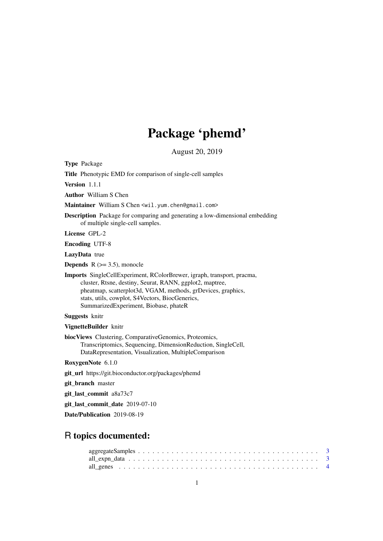# Package 'phemd'

August 20, 2019

Type Package

Title Phenotypic EMD for comparison of single-cell samples

Version 1.1.1

Author William S Chen

Maintainer William S Chen <wil.yum.chen@gmail.com>

Description Package for comparing and generating a low-dimensional embedding of multiple single-cell samples.

License GPL-2

Encoding UTF-8

LazyData true

**Depends**  $R$  ( $>= 3.5$ ), monocle

Imports SingleCellExperiment, RColorBrewer, igraph, transport, pracma, cluster, Rtsne, destiny, Seurat, RANN, ggplot2, maptree, pheatmap, scatterplot3d, VGAM, methods, grDevices, graphics, stats, utils, cowplot, S4Vectors, BiocGenerics, SummarizedExperiment, Biobase, phateR

Suggests knitr

VignetteBuilder knitr

biocViews Clustering, ComparativeGenomics, Proteomics, Transcriptomics, Sequencing, DimensionReduction, SingleCell, DataRepresentation, Visualization, MultipleComparison

RoxygenNote 6.1.0

git\_url https://git.bioconductor.org/packages/phemd

git branch master

git\_last\_commit a8a73c7

git last commit date 2019-07-10

Date/Publication 2019-08-19

# R topics documented: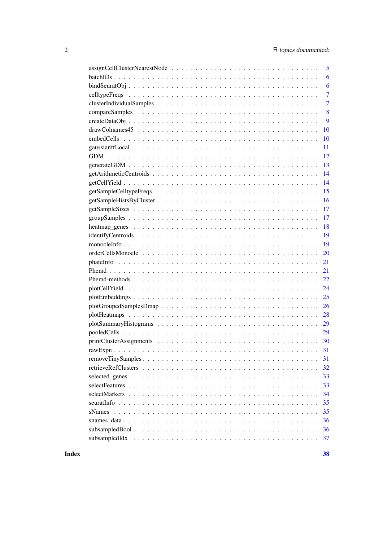|                      | 5              |
|----------------------|----------------|
|                      | 6              |
|                      | 6              |
|                      | $\overline{7}$ |
|                      | $\overline{7}$ |
|                      | 8              |
|                      | 9              |
| 10                   |                |
| 10                   |                |
| 11                   |                |
| 12                   |                |
| 13                   |                |
| 14                   |                |
| 14                   |                |
| 15                   |                |
| 16                   |                |
| 17                   |                |
| 17                   |                |
| 18                   |                |
| 19                   |                |
| 19                   |                |
| 20                   |                |
| 21                   |                |
| 21                   |                |
| 22                   |                |
| 24                   |                |
| 25                   |                |
| 26                   |                |
| 28                   |                |
|                      |                |
|                      |                |
|                      |                |
|                      |                |
| 31                   |                |
| 32                   |                |
| 33<br>selected genes |                |
| 33                   |                |
| 34                   |                |
| 35                   |                |
| 35<br>sNames         |                |
|                      | 36             |
| 36                   |                |
| 37                   |                |
|                      |                |

 $\overline{c}$ 

**Index**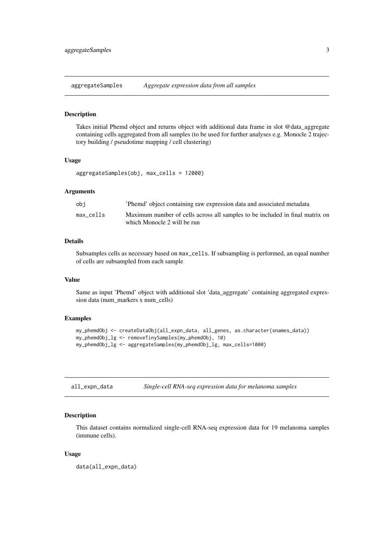<span id="page-2-0"></span>aggregateSamples *Aggregate expression data from all samples*

#### Description

Takes initial Phemd object and returns object with additional data frame in slot @data\_aggregate containing cells aggregated from all samples (to be used for further analyses e.g. Monocle 2 trajectory building / pseudotime mapping / cell clustering)

# Usage

aggregateSamples(obj, max\_cells = 12000)

#### Arguments

| obi       | 'Phemd' object containing raw expression data and associated metadata                                       |
|-----------|-------------------------------------------------------------------------------------------------------------|
| max cells | Maximum number of cells across all samples to be included in final matrix on<br>which Monocle 2 will be run |

#### Details

Subsamples cells as necessary based on max\_cells. If subsampling is performed, an equal number of cells are subsampled from each sample

#### Value

Same as input 'Phemd' object with additional slot 'data\_aggregate' containing aggregated expression data (num\_markers x num\_cells)

#### Examples

```
my_phemdObj <- createDataObj(all_expn_data, all_genes, as.character(snames_data))
my_phemdObj_lg <- removeTinySamples(my_phemdObj, 10)
my_phemdObj_lg <- aggregateSamples(my_phemdObj_lg, max_cells=1000)
```
all\_expn\_data *Single-cell RNA-seq expression data for melanoma samples*

# Description

This dataset contains normalized single-cell RNA-seq expression data for 19 melanoma samples (immune cells).

# Usage

data(all\_expn\_data)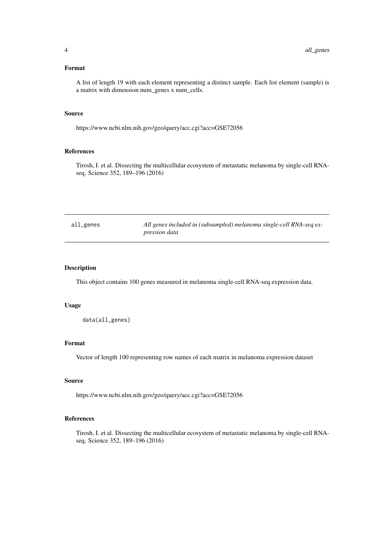# <span id="page-3-0"></span>Format

A list of length 19 with each element representing a distinct sample. Each list element (sample) is a matrix with dimension num\_genes x num\_cells.

#### Source

https://www.ncbi.nlm.nih.gov/geo/query/acc.cgi?acc=GSE72056

# References

Tirosh, I. et al. Dissecting the multicellular ecosystem of metastatic melanoma by single-cell RNAseq. Science 352, 189–196 (2016)

| all_genes | All genes included in (subsampled) melanoma single-cell RNA-seq ex- |
|-----------|---------------------------------------------------------------------|
|           | <i>pression data</i>                                                |

# Description

This object contains 100 genes measured in melanoma single-cell RNA-seq expression data.

# Usage

data(all\_genes)

# Format

Vector of length 100 representing row names of each matrix in melanoma expression dataset

# Source

https://www.ncbi.nlm.nih.gov/geo/query/acc.cgi?acc=GSE72056

## References

Tirosh, I. et al. Dissecting the multicellular ecosystem of metastatic melanoma by single-cell RNAseq. Science 352, 189–196 (2016)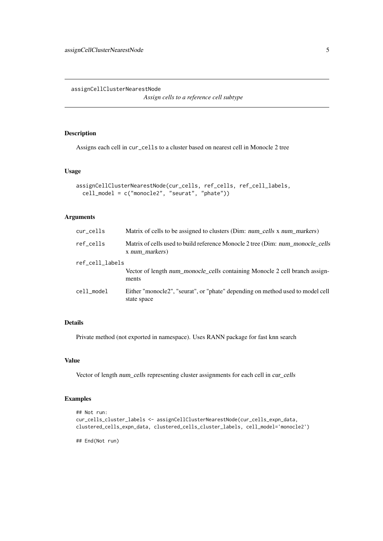<span id="page-4-0"></span>assignCellClusterNearestNode

*Assign cells to a reference cell subtype*

#### Description

Assigns each cell in cur\_cells to a cluster based on nearest cell in Monocle 2 tree

#### Usage

```
assignCellClusterNearestNode(cur_cells, ref_cells, ref_cell_labels,
 cell_model = c("monocle2", "seurat", "phate"))
```
# Arguments

| cur_cells       | Matrix of cells to be assigned to clusters (Dim: num cells x num markers)                        |
|-----------------|--------------------------------------------------------------------------------------------------|
| ref cells       | Matrix of cells used to build reference Monocle 2 tree (Dim: num_monocle_cells<br>x num markers) |
| ref_cell_labels |                                                                                                  |
|                 | Vector of length num monocle cells containing Monocle 2 cell branch assign-<br>ments             |
| cell_model      | Either "monocle2", "seurat", or "phate" depending on method used to model cell<br>state space    |

# Details

Private method (not exported in namespace). Uses RANN package for fast knn search

#### Value

Vector of length num\_cells representing cluster assignments for each cell in cur\_cells

## Examples

```
## Not run:
cur_cells_cluster_labels <- assignCellClusterNearestNode(cur_cells_expn_data,
clustered_cells_expn_data, clustered_cells_cluster_labels, cell_model='monocle2')
```
## End(Not run)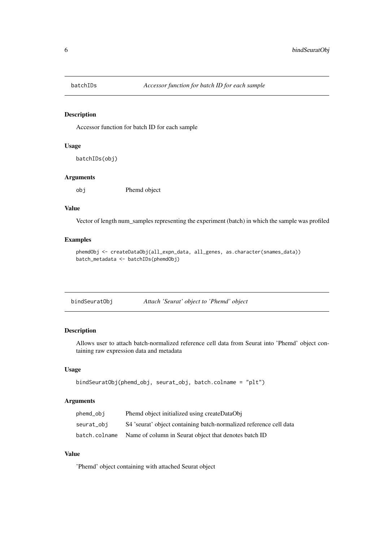<span id="page-5-0"></span>

#### Description

Accessor function for batch ID for each sample

# Usage

batchIDs(obj)

# Arguments

obj Phemd object

# Value

Vector of length num\_samples representing the experiment (batch) in which the sample was profiled

# Examples

```
phemdObj <- createDataObj(all_expn_data, all_genes, as.character(snames_data))
batch_metadata <- batchIDs(phemdObj)
```

| bindSeuratObj |  | Attach 'Seurat' object to 'Phemd' object |  |
|---------------|--|------------------------------------------|--|
|               |  |                                          |  |

# Description

Allows user to attach batch-normalized reference cell data from Seurat into 'Phemd' object containing raw expression data and metadata

# Usage

```
bindSeuratObj(phemd_obj, seurat_obj, batch.colname = "plt")
```
# Arguments

| phemd_obj     | Phemd object initialized using createDataObj                       |
|---------------|--------------------------------------------------------------------|
| seurat_obi    | S4 'seurat' object containing batch-normalized reference cell data |
| batch.colname | Name of column in Seurat object that denotes batch ID              |

# Value

'Phemd' object containing with attached Seurat object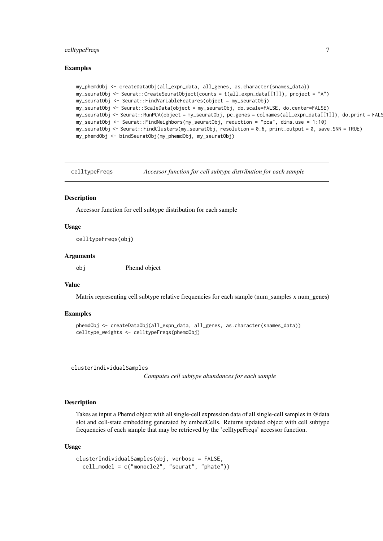#### <span id="page-6-0"></span>celltypeFreqs 7

#### Examples

```
my_phemdObj <- createDataObj(all_expn_data, all_genes, as.character(snames_data))
my_seuratObj <- Seurat::CreateSeuratObject(counts = t(all_expn_data[[1]]), project = "A")
my_seuratObj <- Seurat::FindVariableFeatures(object = my_seuratObj)
my_seuratObj <- Seurat::ScaleData(object = my_seuratObj, do.scale=FALSE, do.center=FALSE)
my_seuratObj <- Seurat::RunPCA(object = my_seuratObj, pc.genes = colnames(all_expn_data[[1]]), do.print = FALS
my_seuratObj <- Seurat::FindNeighbors(my_seuratObj, reduction = "pca", dims.use = 1:10)
my_seuratObj <- Seurat::FindClusters(my_seuratObj, resolution = 0.6, print.output = 0, save.SNN = TRUE)
my_phemdObj <- bindSeuratObj(my_phemdObj, my_seuratObj)
```
celltypeFreqs *Accessor function for cell subtype distribution for each sample*

#### Description

Accessor function for cell subtype distribution for each sample

#### Usage

celltypeFreqs(obj)

#### Arguments

obj Phemd object

# Value

Matrix representing cell subtype relative frequencies for each sample (num\_samples x num\_genes)

#### Examples

```
phemdObj <- createDataObj(all_expn_data, all_genes, as.character(snames_data))
celltype_weights <- celltypeFreqs(phemdObj)
```
clusterIndividualSamples

*Computes cell subtype abundances for each sample*

#### Description

Takes as input a Phemd object with all single-cell expression data of all single-cell samples in @data slot and cell-state embedding generated by embedCells. Returns updated object with cell subtype frequencies of each sample that may be retrieved by the 'celltypeFreqs' accessor function.

#### Usage

```
clusterIndividualSamples(obj, verbose = FALSE,
  cell_model = c("monocle2", "seurat", "phate"))
```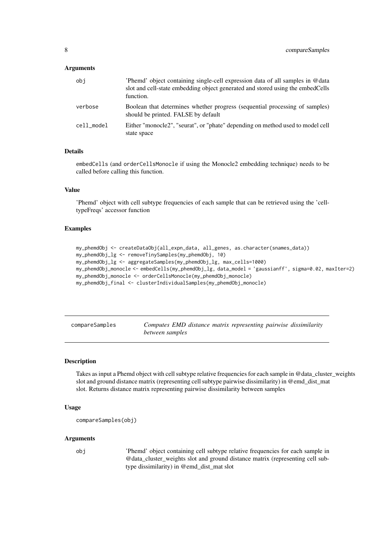## <span id="page-7-0"></span>Arguments

| obi        | Phemd' object containing single-cell expression data of all samples in @data<br>slot and cell-state embedding object generated and stored using the embedCells<br>function. |
|------------|-----------------------------------------------------------------------------------------------------------------------------------------------------------------------------|
| verbose    | Boolean that determines whether progress (sequential processing of samples)<br>should be printed. FALSE by default                                                          |
| cell model | Either "monocle2", "seurat", or "phate" depending on method used to model cell<br>state space                                                                               |

# Details

embedCells (and orderCellsMonocle if using the Monocle2 embedding technique) needs to be called before calling this function.

## Value

'Phemd' object with cell subtype frequencies of each sample that can be retrieved using the 'celltypeFreqs' accessor function

## Examples

```
my_phemdObj <- createDataObj(all_expn_data, all_genes, as.character(snames_data))
my_phemdObj_lg <- removeTinySamples(my_phemdObj, 10)
my_phemdObj_lg <- aggregateSamples(my_phemdObj_lg, max_cells=1000)
my_phemdObj_monocle <- embedCells(my_phemdObj_lg, data_model = 'gaussianff', sigma=0.02, maxIter=2)
my_phemdObj_monocle <- orderCellsMonocle(my_phemdObj_monocle)
my_phemdObj_final <- clusterIndividualSamples(my_phemdObj_monocle)
```

| compareSamples |                 |  | Computes EMD distance matrix representing pairwise dissimilarity |  |
|----------------|-----------------|--|------------------------------------------------------------------|--|
|                | between samples |  |                                                                  |  |

# Description

Takes as input a Phemd object with cell subtype relative frequencies for each sample in @data\_cluster\_weights slot and ground distance matrix (representing cell subtype pairwise dissimilarity) in @emd\_dist\_mat slot. Returns distance matrix representing pairwise dissimilarity between samples

#### Usage

```
compareSamples(obj)
```
# Arguments

obj 'Phemd' object containing cell subtype relative frequencies for each sample in @data\_cluster\_weights slot and ground distance matrix (representing cell subtype dissimilarity) in @emd\_dist\_mat slot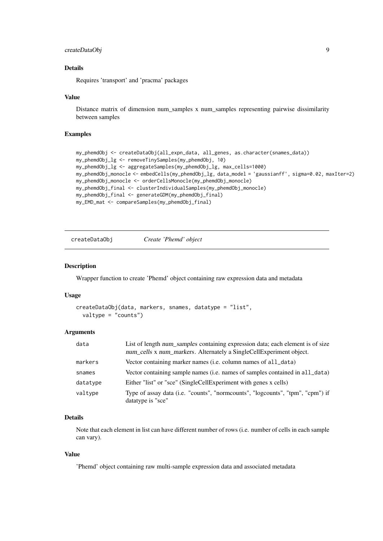#### <span id="page-8-0"></span>createDataObj 9

#### Details

Requires 'transport' and 'pracma' packages

#### Value

Distance matrix of dimension num\_samples x num\_samples representing pairwise dissimilarity between samples

#### Examples

```
my_phemdObj <- createDataObj(all_expn_data, all_genes, as.character(snames_data))
my_phemdObj_lg <- removeTinySamples(my_phemdObj, 10)
my_phemdObj_lg <- aggregateSamples(my_phemdObj_lg, max_cells=1000)
my_phemdObj_monocle <- embedCells(my_phemdObj_lg, data_model = 'gaussianff', sigma=0.02, maxIter=2)
my_phemdObj_monocle <- orderCellsMonocle(my_phemdObj_monocle)
my_phemdObj_final <- clusterIndividualSamples(my_phemdObj_monocle)
my_phemdObj_final <- generateGDM(my_phemdObj_final)
my_EMD_mat <- compareSamples(my_phemdObj_final)
```
createDataObj *Create 'Phemd' object*

#### Description

Wrapper function to create 'Phemd' object containing raw expression data and metadata

#### Usage

```
createDataObj(data, markers, snames, datatype = "list",
 valtype = "counts")
```
#### Arguments

| data     | List of length num samples containing expression data; each element is of size<br>num_cells x num_markers. Alternately a SingleCellExperiment object. |
|----------|-------------------------------------------------------------------------------------------------------------------------------------------------------|
| markers  | Vector containing marker names (i.e. column names of all_data)                                                                                        |
| snames   | Vector containing sample names (i.e. names of samples contained in all_data)                                                                          |
| datatype | Either "list" or "sce" (SingleCellExperiment with genes x cells)                                                                                      |
| valtype  | Type of assay data (i.e. "counts", "normcounts", "logcounts", "tpm", "cpm") if<br>datatype is "sce"                                                   |

## Details

Note that each element in list can have different number of rows (i.e. number of cells in each sample can vary).

#### Value

'Phemd' object containing raw multi-sample expression data and associated metadata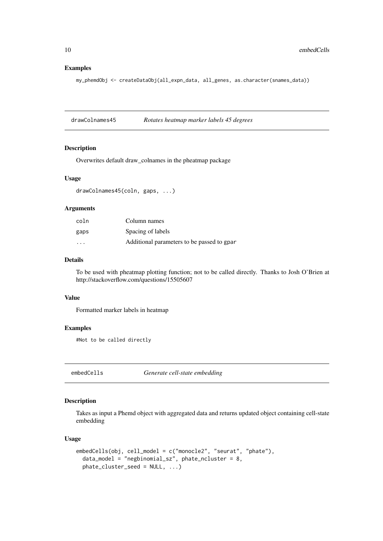# Examples

my\_phemdObj <- createDataObj(all\_expn\_data, all\_genes, as.character(snames\_data))

drawColnames45 *Rotates heatmap marker labels 45 degrees*

## Description

Overwrites default draw\_colnames in the pheatmap package

#### Usage

drawColnames45(coln, gaps, ...)

# Arguments

| coln                    | Column names                               |
|-------------------------|--------------------------------------------|
| gaps                    | Spacing of labels                          |
| $\cdot$ $\cdot$ $\cdot$ | Additional parameters to be passed to gpar |

## Details

To be used with pheatmap plotting function; not to be called directly. Thanks to Josh O'Brien at http://stackoverflow.com/questions/15505607

#### Value

Formatted marker labels in heatmap

#### Examples

#Not to be called directly

embedCells *Generate cell-state embedding*

# Description

Takes as input a Phemd object with aggregated data and returns updated object containing cell-state embedding

# Usage

```
embedCells(obj, cell_model = c("monocle2", "seurat", "phate"),
 data_model = "negbinomial_sz", phate_ncluster = 8,
 phate_cluster_seed = NULL, ...)
```
<span id="page-9-0"></span>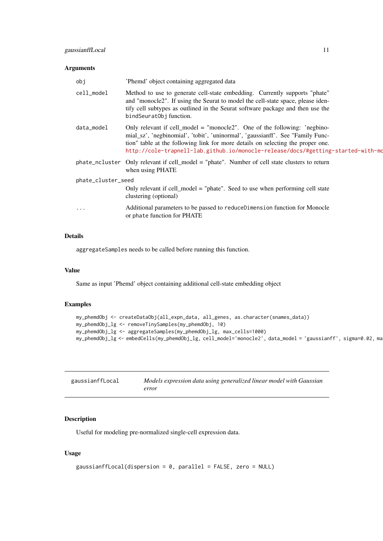#### <span id="page-10-0"></span>Arguments

| obj                | 'Phemd' object containing aggregated data                                                                                                                                                                                                                                                                                          |  |  |  |  |  |  |  |
|--------------------|------------------------------------------------------------------------------------------------------------------------------------------------------------------------------------------------------------------------------------------------------------------------------------------------------------------------------------|--|--|--|--|--|--|--|
| cell_model         | Method to use to generate cell-state embedding. Currently supports "phate"<br>and "monocle2". If using the Seurat to model the cell-state space, please iden-<br>tify cell subtypes as outlined in the Seurat software package and then use the<br>bindSeuratObj function.                                                         |  |  |  |  |  |  |  |
| data_model         | Only relevant if cell_model = "monocle2". One of the following: 'negbino-<br>mial_sz', 'negbinomial', 'tobit', 'uninormal', 'gaussianff'. See "Family Func-<br>tion" table at the following link for more details on selecting the proper one.<br>http://cole-trapnell-lab.github.io/monocle-release/docs/#getting-started-with-mo |  |  |  |  |  |  |  |
|                    | phate_ncluster Only relevant if cell_model = "phate". Number of cell state clusters to return<br>when using PHATE                                                                                                                                                                                                                  |  |  |  |  |  |  |  |
| phate_cluster_seed |                                                                                                                                                                                                                                                                                                                                    |  |  |  |  |  |  |  |
|                    | Only relevant if cell_model = "phate". Seed to use when performing cell state<br>clustering (optional)                                                                                                                                                                                                                             |  |  |  |  |  |  |  |
| .                  | Additional parameters to be passed to reduceDimension function for Monocle<br>or phate function for PHATE                                                                                                                                                                                                                          |  |  |  |  |  |  |  |

# Details

aggregateSamples needs to be called before running this function.

#### Value

Same as input 'Phemd' object containing additional cell-state embedding object

#### Examples

```
my_phemdObj <- createDataObj(all_expn_data, all_genes, as.character(snames_data))
my_phemdObj_lg <- removeTinySamples(my_phemdObj, 10)
my_phemdObj_lg <- aggregateSamples(my_phemdObj_lg, max_cells=1000)
my_phemdObj_lg <- embedCells(my_phemdObj_lg, cell_model='monocle2', data_model = 'gaussianff', sigma=0.02, ma
```

| gaussianffLocal | Models expression data using generalized linear model with Gaussian |
|-----------------|---------------------------------------------------------------------|
|                 | error                                                               |

# Description

Useful for modeling pre-normalized single-cell expression data.

# Usage

```
gaussianffLocal(dispersion = 0, parallel = FALSE, zero = NULL)
```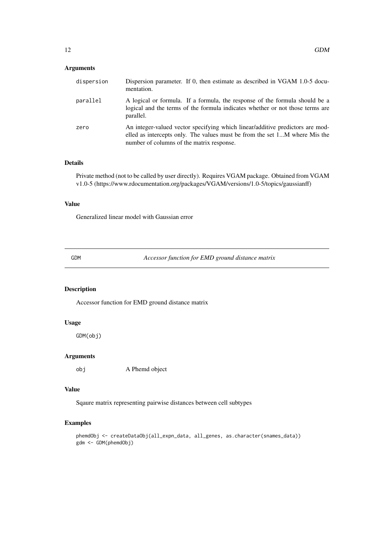# <span id="page-11-0"></span>Arguments

| dispersion | Dispersion parameter. If 0, then estimate as described in VGAM 1.0-5 docu-<br>mentation.                                                                                                                 |
|------------|----------------------------------------------------------------------------------------------------------------------------------------------------------------------------------------------------------|
| parallel   | A logical or formula. If a formula, the response of the formula should be a<br>logical and the terms of the formula indicates whether or not those terms are<br>parallel.                                |
| zero       | An integer-valued vector specifying which linear/additive predictors are mod-<br>elled as intercepts only. The values must be from the set 1M where Mis the<br>number of columns of the matrix response. |

# Details

Private method (not to be called by user directly). Requires VGAM package. Obtained from VGAM v1.0-5 (https://www.rdocumentation.org/packages/VGAM/versions/1.0-5/topics/gaussianff)

#### Value

Generalized linear model with Gaussian error

GDM *Accessor function for EMD ground distance matrix*

# Description

Accessor function for EMD ground distance matrix

## Usage

GDM(obj)

# Arguments

obj A Phemd object

#### Value

Sqaure matrix representing pairwise distances between cell subtypes

```
phemdObj <- createDataObj(all_expn_data, all_genes, as.character(snames_data))
gdm <- GDM(phemdObj)
```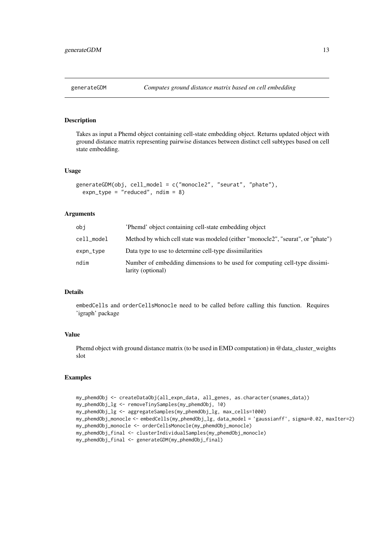<span id="page-12-0"></span>

#### Description

Takes as input a Phemd object containing cell-state embedding object. Returns updated object with ground distance matrix representing pairwise distances between distinct cell subtypes based on cell state embedding.

#### Usage

```
generateGDM(obj, cell_model = c("monocle2", "seurat", "phate"),
  expn_type = "reduced", ndim = 8)
```
## Arguments

| obi        | 'Phemd' object containing cell-state embedding object                                           |
|------------|-------------------------------------------------------------------------------------------------|
| cell_model | Method by which cell state was modeled (either "monocle2", "seurat", or "phate")                |
| expn_type  | Data type to use to determine cell-type dissimilarities                                         |
| ndim       | Number of embedding dimensions to be used for computing cell-type dissimi-<br>larity (optional) |

#### Details

embedCells and orderCellsMonocle need to be called before calling this function. Requires 'igraph' package

# Value

Phemd object with ground distance matrix (to be used in EMD computation) in @data\_cluster\_weights slot

```
my_phemdObj <- createDataObj(all_expn_data, all_genes, as.character(snames_data))
my_phemdObj_lg <- removeTinySamples(my_phemdObj, 10)
my_phemdObj_lg <- aggregateSamples(my_phemdObj_lg, max_cells=1000)
my_phemdObj_monocle <- embedCells(my_phemdObj_lg, data_model = 'gaussianff', sigma=0.02, maxIter=2)
my_phemdObj_monocle <- orderCellsMonocle(my_phemdObj_monocle)
my_phemdObj_final <- clusterIndividualSamples(my_phemdObj_monocle)
my_phemdObj_final <- generateGDM(my_phemdObj_final)
```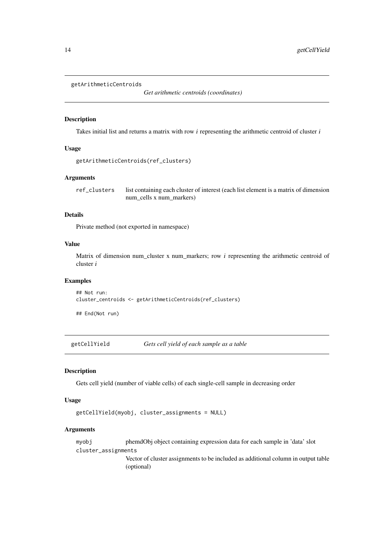```
getArithmeticCentroids
```
*Get arithmetic centroids (coordinates)*

## Description

Takes initial list and returns a matrix with row i representing the arithmetic centroid of cluster i

# Usage

```
getArithmeticCentroids(ref_clusters)
```
#### Arguments

ref\_clusters list containing each cluster of interest (each list element is a matrix of dimension num\_cells x num\_markers)

# Details

Private method (not exported in namespace)

## Value

Matrix of dimension num\_cluster x num\_markers; row i representing the arithmetic centroid of cluster i

# Examples

```
## Not run:
cluster_centroids <- getArithmeticCentroids(ref_clusters)
```
## End(Not run)

getCellYield *Gets cell yield of each sample as a table*

#### Description

Gets cell yield (number of viable cells) of each single-cell sample in decreasing order

#### Usage

```
getCellYield(myobj, cluster_assignments = NULL)
```
# Arguments

myobj phemdObj object containing expression data for each sample in 'data' slot cluster\_assignments

> Vector of cluster assignments to be included as additional column in output table (optional)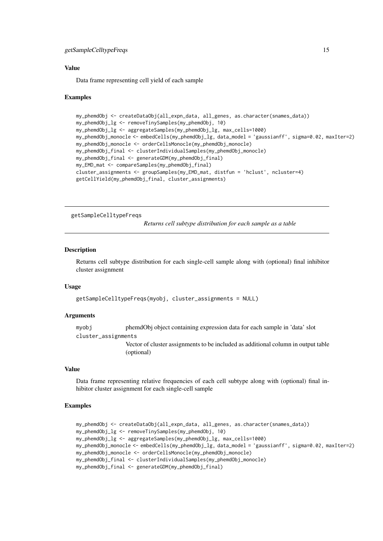#### <span id="page-14-0"></span>getSampleCelltypeFreqs 15

#### Value

Data frame representing cell yield of each sample

#### Examples

```
my_phemdObj <- createDataObj(all_expn_data, all_genes, as.character(snames_data))
my_phemdObj_lg <- removeTinySamples(my_phemdObj, 10)
my_phemdObj_lg <- aggregateSamples(my_phemdObj_lg, max_cells=1000)
my_phemdObj_monocle <- embedCells(my_phemdObj_lg, data_model = 'gaussianff', sigma=0.02, maxIter=2)
my_phemdObj_monocle <- orderCellsMonocle(my_phemdObj_monocle)
my_phemdObj_final <- clusterIndividualSamples(my_phemdObj_monocle)
my_phemdObj_final <- generateGDM(my_phemdObj_final)
my_EMD_mat <- compareSamples(my_phemdObj_final)
cluster_assignments <- groupSamples(my_EMD_mat, distfun = 'hclust', ncluster=4)
getCellYield(my_phemdObj_final, cluster_assignments)
```
getSampleCelltypeFreqs

*Returns cell subtype distribution for each sample as a table*

# Description

Returns cell subtype distribution for each single-cell sample along with (optional) final inhibitor cluster assignment

## Usage

```
getSampleCelltypeFreqs(myobj, cluster_assignments = NULL)
```
#### Arguments

myobj phemdObj object containing expression data for each sample in 'data' slot cluster\_assignments

> Vector of cluster assignments to be included as additional column in output table (optional)

#### Value

Data frame representing relative frequencies of each cell subtype along with (optional) final inhibitor cluster assignment for each single-cell sample

```
my_phemdObj <- createDataObj(all_expn_data, all_genes, as.character(snames_data))
my_phemdObj_lg <- removeTinySamples(my_phemdObj, 10)
my_phemdObj_lg <- aggregateSamples(my_phemdObj_lg, max_cells=1000)
my_phemdObj_monocle <- embedCells(my_phemdObj_lg, data_model = 'gaussianff', sigma=0.02, maxIter=2)
my_phemdObj_monocle <- orderCellsMonocle(my_phemdObj_monocle)
my_phemdObj_final <- clusterIndividualSamples(my_phemdObj_monocle)
my_phemdObj_final <- generateGDM(my_phemdObj_final)
```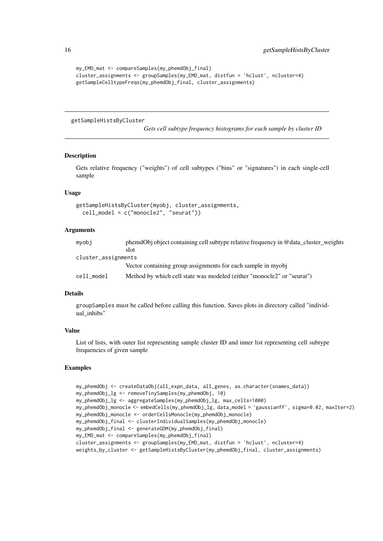```
my_EMD_mat <- compareSamples(my_phemdObj_final)
cluster_assignments <- groupSamples(my_EMD_mat, distfun = 'hclust', ncluster=4)
getSampleCelltypeFreqs(my_phemdObj_final, cluster_assignments)
```
getSampleHistsByCluster

*Gets cell subtype frequency histograms for each sample by cluster ID*

#### Description

Gets relative frequency ("weights") of cell subtypes ("bins" or "signatures") in each single-cell sample

# Usage

```
getSampleHistsByCluster(myobj, cluster_assignments,
 cell_model = c("monocle2", "seurat"))
```
#### Arguments

| mvobi               | phemdObj object containing cell subtype relative frequency in @data_cluster_weights |
|---------------------|-------------------------------------------------------------------------------------|
|                     | slot                                                                                |
| cluster_assignments |                                                                                     |
|                     | Vector containing group assignments for each sample in myobj                        |
| cell model          | Method by which cell state was modeled (either "monocle2" or "seurat")              |

# Details

groupSamples must be called before calling this function. Saves plots in directory called "individual inhibs"

# Value

List of lists, with outer list representing sample cluster ID and inner list representing cell subtype frequencies of given sample

```
my_phemdObj <- createDataObj(all_expn_data, all_genes, as.character(snames_data))
my_phemdObj_lg <- removeTinySamples(my_phemdObj, 10)
my_phemdObj_lg <- aggregateSamples(my_phemdObj_lg, max_cells=1000)
my_phemdObj_monocle <- embedCells(my_phemdObj_lg, data_model = 'gaussianff', sigma=0.02, maxIter=2)
my_phemdObj_monocle <- orderCellsMonocle(my_phemdObj_monocle)
my_phemdObj_final <- clusterIndividualSamples(my_phemdObj_monocle)
my_phemdObj_final <- generateGDM(my_phemdObj_final)
my_EMD_mat <- compareSamples(my_phemdObj_final)
cluster_assignments <- groupSamples(my_EMD_mat, distfun = 'hclust', ncluster=4)
weights_by_cluster <- getSampleHistsByCluster(my_phemdObj_final, cluster_assignments)
```
<span id="page-15-0"></span>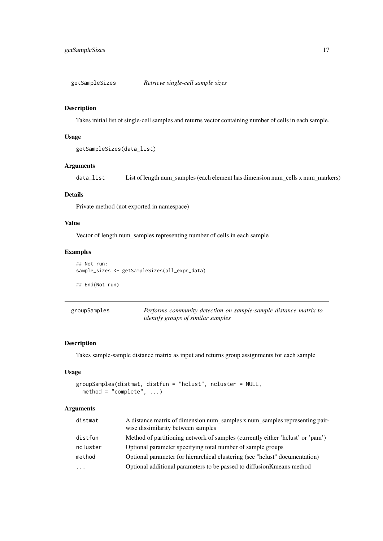<span id="page-16-0"></span>getSampleSizes *Retrieve single-cell sample sizes*

# Description

Takes initial list of single-cell samples and returns vector containing number of cells in each sample.

# Usage

```
getSampleSizes(data_list)
```
# Arguments

data\_list List of length num\_samples (each element has dimension num\_cells x num\_markers)

# Details

Private method (not exported in namespace)

## Value

Vector of length num\_samples representing number of cells in each sample

## Examples

```
## Not run:
sample_sizes <- getSampleSizes(all_expn_data)
```
## End(Not run)

| groupSamples | Performs community detection on sample-sample distance matrix to |
|--------------|------------------------------------------------------------------|
|              | <i>identify groups of similar samples</i>                        |

# Description

Takes sample-sample distance matrix as input and returns group assignments for each sample

# Usage

```
groupSamples(distmat, distfun = "hclust", ncluster = NULL,
 method = "complete", ...)
```
# Arguments

| distmat                 | A distance matrix of dimension num samples x num samples representing pair-<br>wise dissimilarity between samples |
|-------------------------|-------------------------------------------------------------------------------------------------------------------|
| distfun                 | Method of partitioning network of samples (currently either 'hclust' or 'pam')                                    |
| ncluster                | Optional parameter specifying total number of sample groups                                                       |
| method                  | Optional parameter for hierarchical clustering (see "holust" documentation)                                       |
| $\cdot$ $\cdot$ $\cdot$ | Optional additional parameters to be passed to diffusion K means method                                           |
|                         |                                                                                                                   |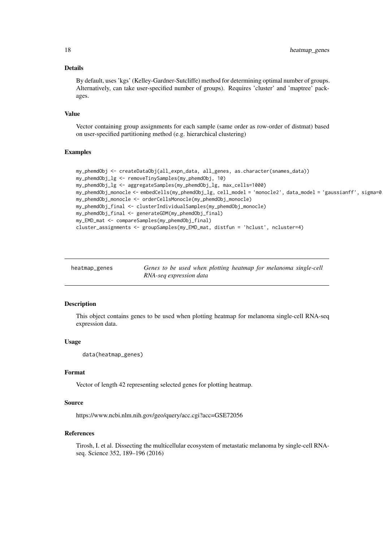#### Details

By default, uses 'kgs' (Kelley-Gardner-Sutcliffe) method for determining optimal number of groups. Alternatively, can take user-specified number of groups). Requires 'cluster' and 'maptree' packages.

## Value

Vector containing group assignments for each sample (same order as row-order of distmat) based on user-specified partitioning method (e.g. hierarchical clustering)

# Examples

```
my_phemdObj <- createDataObj(all_expn_data, all_genes, as.character(snames_data))
my_phemdObj_lg <- removeTinySamples(my_phemdObj, 10)
my_phemdObj_lg <- aggregateSamples(my_phemdObj_lg, max_cells=1000)
my_phemdObj_monocle <- embedCells(my_phemdObj_lg, cell_model = 'monocle2', data_model = 'gaussianff', sigma=0
my_phemdObj_monocle <- orderCellsMonocle(my_phemdObj_monocle)
my_phemdObj_final <- clusterIndividualSamples(my_phemdObj_monocle)
my_phemdObj_final <- generateGDM(my_phemdObj_final)
my_EMD_mat <- compareSamples(my_phemdObj_final)
cluster_assignments <- groupSamples(my_EMD_mat, distfun = 'hclust', ncluster=4)
```

| heatmap_genes | Genes to be used when plotting heatmap for melanoma single-cell |
|---------------|-----------------------------------------------------------------|
|               | RNA-seq expression data                                         |

#### Description

This object contains genes to be used when plotting heatmap for melanoma single-cell RNA-seq expression data.

#### Usage

```
data(heatmap_genes)
```
#### Format

Vector of length 42 representing selected genes for plotting heatmap.

#### Source

https://www.ncbi.nlm.nih.gov/geo/query/acc.cgi?acc=GSE72056

#### References

Tirosh, I. et al. Dissecting the multicellular ecosystem of metastatic melanoma by single-cell RNAseq. Science 352, 189–196 (2016)

<span id="page-17-0"></span>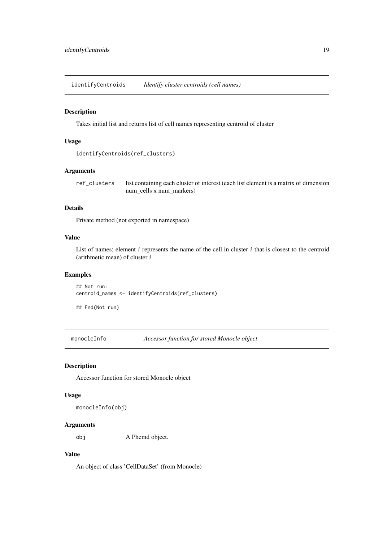<span id="page-18-0"></span>identifyCentroids *Identify cluster centroids (cell names)*

## Description

Takes initial list and returns list of cell names representing centroid of cluster

## Usage

```
identifyCentroids(ref_clusters)
```
#### Arguments

ref\_clusters list containing each cluster of interest (each list element is a matrix of dimension num\_cells x num\_markers)

# Details

Private method (not exported in namespace)

# Value

List of names; element  $i$  represents the name of the cell in cluster  $i$  that is closest to the centroid (arithmetic mean) of cluster i

# Examples

## Not run: centroid\_names <- identifyCentroids(ref\_clusters)

## End(Not run)

monocleInfo *Accessor function for stored Monocle object*

# Description

Accessor function for stored Monocle object

# Usage

monocleInfo(obj)

# Arguments

obj A Phemd object.

# Value

An object of class 'CellDataSet' (from Monocle)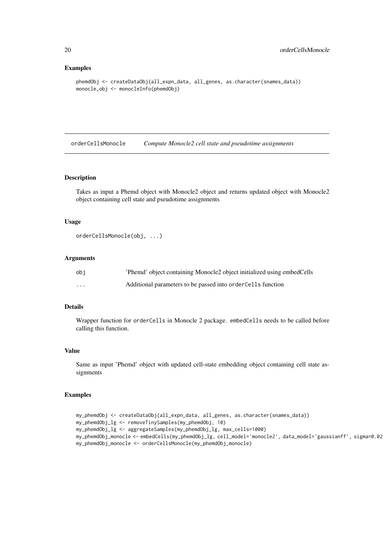#### Examples

```
phemdObj <- createDataObj(all_expn_data, all_genes, as.character(snames_data))
monocle_obj <- monocleInfo(phemdObj)
```
orderCellsMonocle *Compute Monocle2 cell state and pseudotime assignments*

# Description

Takes as input a Phemd object with Monocle2 object and returns updated object with Monocle2 object containing cell state and pseudotime assignments

## Usage

```
orderCellsMonocle(obj, ...)
```
## Arguments

| obi      | 'Phemd' object containing Monocle2 object initialized using embedCells |
|----------|------------------------------------------------------------------------|
| $\cdots$ | Additional parameters to be passed into order Cells function           |

## Details

Wrapper function for orderCells in Monocle 2 package. embedCells needs to be called before calling this function.

#### Value

Same as input 'Phemd' object with updated cell-state embedding object containing cell state assignments

```
my_phemdObj <- createDataObj(all_expn_data, all_genes, as.character(snames_data))
my_phemdObj_lg <- removeTinySamples(my_phemdObj, 10)
my_phemdObj_lg <- aggregateSamples(my_phemdObj_lg, max_cells=1000)
my_phemdObj_monocle <- embedCells(my_phemdObj_lg, cell_model='monocle2', data_model='gaussianff', sigma=0.02
my_phemdObj_monocle <- orderCellsMonocle(my_phemdObj_monocle)
```
<span id="page-19-0"></span>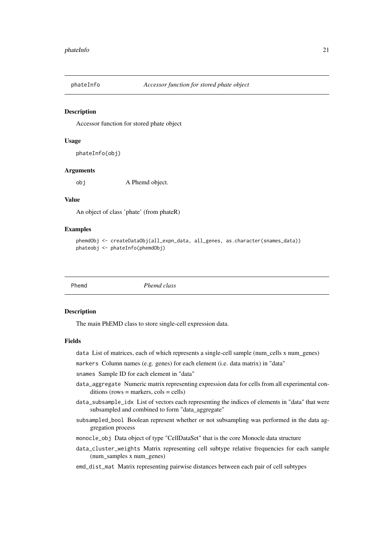<span id="page-20-0"></span>

#### Description

Accessor function for stored phate object

#### Usage

```
phateInfo(obj)
```
#### Arguments

obj A Phemd object.

# Value

An object of class 'phate' (from phateR)

# Examples

```
phemdObj <- createDataObj(all_expn_data, all_genes, as.character(snames_data))
phateobj <- phateInfo(phemdObj)
```
Phemd *Phemd class*

#### Description

The main PhEMD class to store single-cell expression data.

# Fields

data List of matrices, each of which represents a single-cell sample (num\_cells x num\_genes)

markers Column names (e.g. genes) for each element (i.e. data matrix) in "data"

snames Sample ID for each element in "data"

- data\_aggregate Numeric matrix representing expression data for cells from all experimental con $ditions (rows = markers,  $cols = cells)$ )$
- data\_subsample\_idx List of vectors each representing the indices of elements in "data" that were subsampled and combined to form "data\_aggregate"
- subsampled\_bool Boolean represent whether or not subsampling was performed in the data aggregation process
- monocle\_obj Data object of type "CellDataSet" that is the core Monocle data structure
- data\_cluster\_weights Matrix representing cell subtype relative frequencies for each sample (num\_samples x num\_genes)
- emd\_dist\_mat Matrix representing pairwise distances between each pair of cell subtypes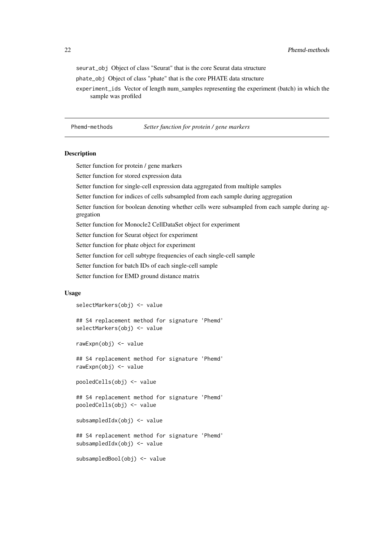<span id="page-21-0"></span>seurat\_obj Object of class "Seurat" that is the core Seurat data structure

phate\_obj Object of class "phate" that is the core PHATE data structure

experiment ids Vector of length num samples representing the experiment (batch) in which the sample was profiled

Phemd-methods *Setter function for protein / gene markers*

#### Description

Setter function for protein / gene markers

Setter function for stored expression data

Setter function for single-cell expression data aggregated from multiple samples

Setter function for indices of cells subsampled from each sample during aggregation

Setter function for boolean denoting whether cells were subsampled from each sample during aggregation

Setter function for Monocle2 CellDataSet object for experiment

Setter function for Seurat object for experiment

Setter function for phate object for experiment

Setter function for cell subtype frequencies of each single-cell sample

Setter function for batch IDs of each single-cell sample

Setter function for EMD ground distance matrix

# Usage

selectMarkers(obj) <- value

## S4 replacement method for signature 'Phemd' selectMarkers(obj) <- value

rawExpn(obj) <- value

## S4 replacement method for signature 'Phemd' rawExpn(obj) <- value

pooledCells(obj) <- value

## S4 replacement method for signature 'Phemd' pooledCells(obj) <- value

subsampledIdx(obj) <- value

## S4 replacement method for signature 'Phemd' subsampledIdx(obj) <- value

subsampledBool(obj) <- value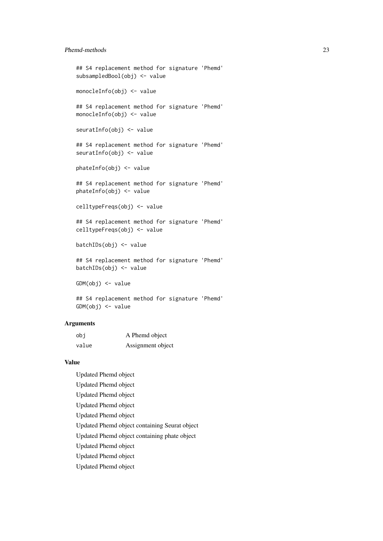#### Phemd-methods 23

```
## S4 replacement method for signature 'Phemd'
subsampledBool(obj) <- value
monocleInfo(obj) <- value
## S4 replacement method for signature 'Phemd'
monocleInfo(obj) <- value
seuratInfo(obj) <- value
## S4 replacement method for signature 'Phemd'
seuratInfo(obj) <- value
phateInfo(obj) <- value
## S4 replacement method for signature 'Phemd'
phateInfo(obj) <- value
celltypeFreqs(obj) <- value
## S4 replacement method for signature 'Phemd'
celltypeFreqs(obj) <- value
batchIDs(obj) <- value
## S4 replacement method for signature 'Phemd'
batchIDs(obj) <- value
GDM(obj) <- value
## S4 replacement method for signature 'Phemd'
GDM(obj) <- value
```
## Arguments

| obi   | A Phemd object    |
|-------|-------------------|
| value | Assignment object |

# Value

Updated Phemd object Updated Phemd object Updated Phemd object Updated Phemd object Updated Phemd object Updated Phemd object containing Seurat object Updated Phemd object containing phate object Updated Phemd object Updated Phemd object Updated Phemd object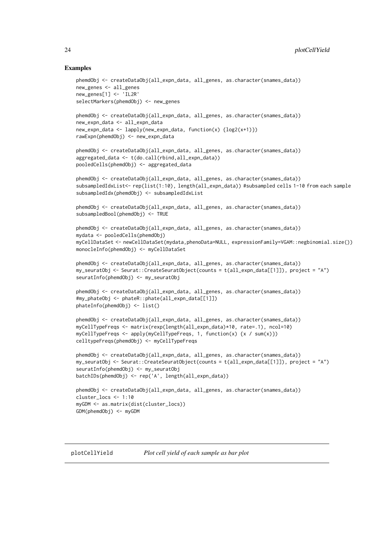```
phemdObj <- createDataObj(all_expn_data, all_genes, as.character(snames_data))
new_genes <- all_genes
new_genes[1] <- 'IL2R'
selectMarkers(phemdObj) <- new_genes
phemdObj <- createDataObj(all_expn_data, all_genes, as.character(snames_data))
new_expn_data <- all_expn_data
new_expn_data <- lapply(new_expn_data, function(x) {log2(x+1)})
rawExpn(phemdObj) <- new_expn_data
phemdObj <- createDataObj(all_expn_data, all_genes, as.character(snames_data))
aggregated_data <- t(do.call(rbind,all_expn_data))
pooledCells(phemdObj) <- aggregated_data
phemdObj <- createDataObj(all_expn_data, all_genes, as.character(snames_data))
subsampledIdxList<- rep(list(1:10), length(all_expn_data)) #subsampled cells 1-10 from each sample
subsampledIdx(phemdObj) <- subsampledIdxList
phemdObj <- createDataObj(all_expn_data, all_genes, as.character(snames_data))
subsampledBool(phemdObj) <- TRUE
phemdObj <- createDataObj(all_expn_data, all_genes, as.character(snames_data))
mydata <- pooledCells(phemdObj)
myCellDataSet <- newCellDataSet(mydata,phenoData=NULL, expressionFamily=VGAM::negbinomial.size())
monocleInfo(phemdObj) <- myCellDataSet
phemdObj <- createDataObj(all_expn_data, all_genes, as.character(snames_data))
my_seuratObj <- Seurat::CreateSeuratObject(counts = t(all_expn_data[[1]]), project = "A")
seuratInfo(phemdObj) <- my_seuratObj
phemdObj <- createDataObj(all_expn_data, all_genes, as.character(snames_data))
#my_phateObj <- phateR::phate(all_expn_data[[1]])
phateInfo(phemdObj) <- list()
phemdObj <- createDataObj(all_expn_data, all_genes, as.character(snames_data))
myCellTypeFreqs <- matrix(rexp(length(all_expn_data)*10, rate=.1), ncol=10)
myCellTypeFreqs <- apply(myCellTypeFreqs, 1, function(x) {x / sum(x)})
celltypeFreqs(phemdObj) <- myCellTypeFreqs
phemdObj <- createDataObj(all_expn_data, all_genes, as.character(snames_data))
my_seuratObj <- Seurat::CreateSeuratObject(counts = t(all_expn_data[[1]]), project = "A")
seuratInfo(phemdObj) <- my_seuratObj
batchIDs(phemdObj) <- rep('A', length(all_expn_data))
phemdObj <- createDataObj(all_expn_data, all_genes, as.character(snames_data))
cluster_locs <- 1:10
myGDM <- as.matrix(dist(cluster_locs))
GDM(phemdObj) <- myGDM
```
<span id="page-23-0"></span>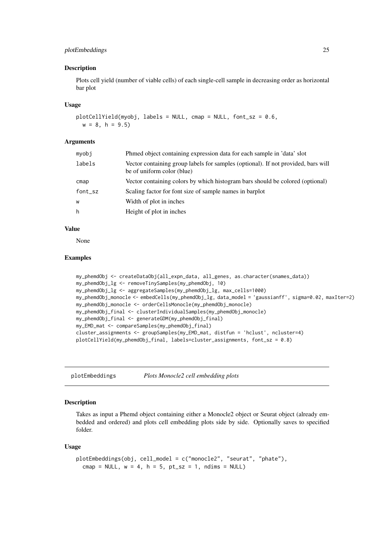#### <span id="page-24-0"></span>plotEmbeddings 25

#### Description

Plots cell yield (number of viable cells) of each single-cell sample in decreasing order as horizontal bar plot

# Usage

```
plotCellYield(myobj, labels = NULL, cmap = NULL, font_sz = 0.6,
 w = 8, h = 9.5
```
#### Arguments

| myobi   | Phmed object containing expression data for each sample in 'data' slot                                          |
|---------|-----------------------------------------------------------------------------------------------------------------|
| labels  | Vector containing group labels for samples (optional). If not provided, bars will<br>be of uniform color (blue) |
| cmap    | Vector containing colors by which histogram bars should be colored (optional)                                   |
| font_sz | Scaling factor for font size of sample names in barplot                                                         |
| W       | Width of plot in inches                                                                                         |
| h       | Height of plot in inches                                                                                        |

# Value

None

#### Examples

```
my_phemdObj <- createDataObj(all_expn_data, all_genes, as.character(snames_data))
my_phemdObj_lg <- removeTinySamples(my_phemdObj, 10)
my_phemdObj_lg <- aggregateSamples(my_phemdObj_lg, max_cells=1000)
my_phemdObj_monocle <- embedCells(my_phemdObj_lg, data_model = 'gaussianff', sigma=0.02, maxIter=2)
my_phemdObj_monocle <- orderCellsMonocle(my_phemdObj_monocle)
my_phemdObj_final <- clusterIndividualSamples(my_phemdObj_monocle)
my_phemdObj_final <- generateGDM(my_phemdObj_final)
my_EMD_mat <- compareSamples(my_phemdObj_final)
cluster_assignments <- groupSamples(my_EMD_mat, distfun = 'hclust', ncluster=4)
plotCellYield(my_phemdObj_final, labels=cluster_assignments, font_sz = 0.8)
```
plotEmbeddings *Plots Monocle2 cell embedding plots*

#### Description

Takes as input a Phemd object containing either a Monocle2 object or Seurat object (already embedded and ordered) and plots cell embedding plots side by side. Optionally saves to specified folder.

#### Usage

```
plotEmbeddings(obj, cell_model = c("monocle2", "seurat", "phate"),
  cmap = NULL, w = 4, h = 5, pt\_sz = 1, ndims = NULL
```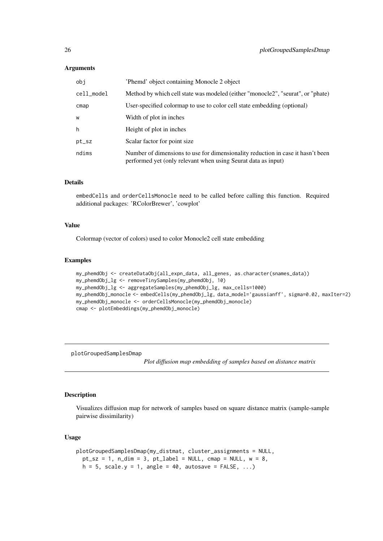#### Arguments

| obj        | 'Phemd' object containing Monocle 2 object                                                                                                       |
|------------|--------------------------------------------------------------------------------------------------------------------------------------------------|
| cell_model | Method by which cell state was modeled (either "monocle2", "seurat", or "phate)                                                                  |
| cmap       | User-specified colormap to use to color cell state embedding (optional)                                                                          |
| W          | Width of plot in inches                                                                                                                          |
| h          | Height of plot in inches                                                                                                                         |
| pt_sz      | Scalar factor for point size                                                                                                                     |
| ndims      | Number of dimensions to use for dimensionality reduction in case it hasn't been<br>performed yet (only relevant when using Seurat data as input) |

## Details

embedCells and orderCellsMonocle need to be called before calling this function. Required additional packages: 'RColorBrewer', 'cowplot'

#### Value

Colormap (vector of colors) used to color Monocle2 cell state embedding

#### Examples

```
my_phemdObj <- createDataObj(all_expn_data, all_genes, as.character(snames_data))
my_phemdObj_lg <- removeTinySamples(my_phemdObj, 10)
my_phemdObj_lg <- aggregateSamples(my_phemdObj_lg, max_cells=1000)
my_phemdObj_monocle <- embedCells(my_phemdObj_lg, data_model='gaussianff', sigma=0.02, maxIter=2)
my_phemdObj_monocle <- orderCellsMonocle(my_phemdObj_monocle)
cmap <- plotEmbeddings(my_phemdObj_monocle)
```
plotGroupedSamplesDmap

*Plot diffusion map embedding of samples based on distance matrix*

#### Description

Visualizes diffusion map for network of samples based on square distance matrix (sample-sample pairwise dissimilarity)

#### Usage

```
plotGroupedSamplesDmap(my_distmat, cluster_assignments = NULL,
  pt\_sz = 1, n\_dim = 3, pt\_label = NULL, cmap = NULL, w = 8,
  h = 5, scale.y = 1, angle = 40, autosave = FALSE, ...)
```
<span id="page-25-0"></span>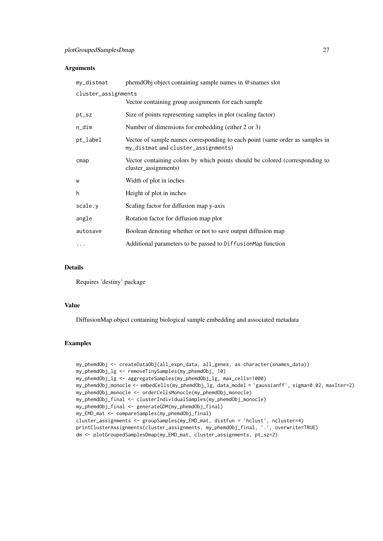# Arguments

| my_distmat          | phemdObj object containing sample names in @snames slot                                                             |
|---------------------|---------------------------------------------------------------------------------------------------------------------|
| cluster_assignments |                                                                                                                     |
|                     | Vector containing group assignments for each sample                                                                 |
| pt_sz               | Size of points representing samples in plot (scaling factor)                                                        |
| n_dim               | Number of dimensions for embedding (either 2 or 3)                                                                  |
| pt_label            | Vector of sample names corresponding to each point (same order as samples in<br>my_distmat and cluster_assignments) |
| cmap                | Vector containing colors by which points should be colored (corresponding to<br>cluster_assignments)                |
| W                   | Width of plot in inches                                                                                             |
| h                   | Height of plot in inches                                                                                            |
| scale.y             | Scaling factor for diffusion map y-axis                                                                             |
| angle               | Rotation factor for diffusion map plot                                                                              |
| autosave            | Boolean denoting whether or not to save output diffusion map                                                        |
| $\cdots$            | Additional parameters to be passed to DiffusionMap function                                                         |

## Details

Requires 'destiny' package

## Value

DiffusionMap object containing biological sample embedding and associated metadata

```
my_phemdObj <- createDataObj(all_expn_data, all_genes, as.character(snames_data))
my_phemdObj_lg <- removeTinySamples(my_phemdObj, 10)
my_phemdObj_lg <- aggregateSamples(my_phemdObj_lg, max_cells=1000)
my_phemdObj_monocle <- embedCells(my_phemdObj_lg, data_model = 'gaussianff', sigma=0.02, maxIter=2)
my_phemdObj_monocle <- orderCellsMonocle(my_phemdObj_monocle)
my_phemdObj_final <- clusterIndividualSamples(my_phemdObj_monocle)
my_phemdObj_final <- generateGDM(my_phemdObj_final)
my_EMD_mat <- compareSamples(my_phemdObj_final)
cluster_assignments <- groupSamples(my_EMD_mat, distfun = 'hclust', ncluster=4)
printClusterAssignments(cluster_assignments, my_phemdObj_final, '.', overwrite=TRUE)
dm <- plotGroupedSamplesDmap(my_EMD_mat, cluster_assignments, pt_sz=2)
```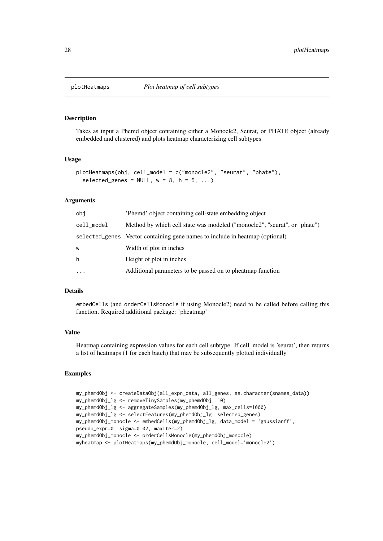<span id="page-27-0"></span>

## Description

Takes as input a Phemd object containing either a Monocle2, Seurat, or PHATE object (already embedded and clustered) and plots heatmap characterizing cell subtypes

# Usage

```
plotHeatmaps(obj, cell_model = c("monocle2", "seurat", "phate"),
  selected_genes = NULL, w = 8, h = 5, ...)
```
## Arguments

| obi        | 'Phemd' object containing cell-state embedding object                        |
|------------|------------------------------------------------------------------------------|
| cell_model | Method by which cell state was modeled ("monocle2", "seurat", or "phate")    |
|            | selected_genes Vector containing gene names to include in heatmap (optional) |
| W          | Width of plot in inches                                                      |
| h          | Height of plot in inches                                                     |
| $\ddotsc$  | Additional parameters to be passed on to pheatmap function                   |

# Details

embedCells (and orderCellsMonocle if using Monocle2) need to be called before calling this function. Required additional package: 'pheatmap'

# Value

Heatmap containing expression values for each cell subtype. If cell\_model is 'seurat', then returns a list of heatmaps (1 for each batch) that may be subsequently plotted individually

```
my_phemdObj <- createDataObj(all_expn_data, all_genes, as.character(snames_data))
my_phemdObj_lg <- removeTinySamples(my_phemdObj, 10)
my_phemdObj_lg <- aggregateSamples(my_phemdObj_lg, max_cells=1000)
my_phemdObj_lg <- selectFeatures(my_phemdObj_lg, selected_genes)
my_phemdObj_monocle <- embedCells(my_phemdObj_lg, data_model = 'gaussianff',
pseudo_expr=0, sigma=0.02, maxIter=2)
my_phemdObj_monocle <- orderCellsMonocle(my_phemdObj_monocle)
myheatmap <- plotHeatmaps(my_phemdObj_monocle, cell_model='monocle2')
```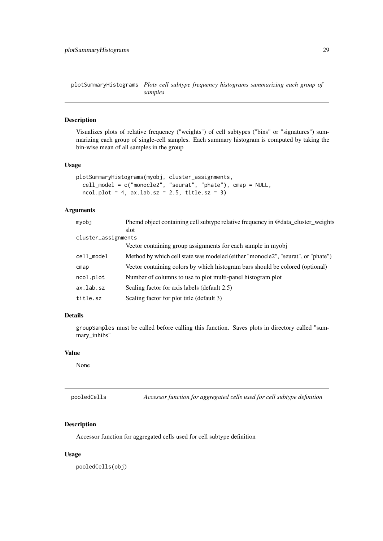<span id="page-28-0"></span>plotSummaryHistograms *Plots cell subtype frequency histograms summarizing each group of samples*

# Description

Visualizes plots of relative frequency ("weights") of cell subtypes ("bins" or "signatures") summarizing each group of single-cell samples. Each summary histogram is computed by taking the bin-wise mean of all samples in the group

# Usage

```
plotSummaryHistograms(myobj, cluster_assignments,
  cell_model = c("monocle2", "seurat", "phate"), cmap = NULL,
 ncol.plot = 4, ax.lab.sz = 2.5, title.sz = 3)
```
# Arguments

| myobj               | Phemd object containing cell subtype relative frequency in @data_cluster_weights |  |
|---------------------|----------------------------------------------------------------------------------|--|
|                     | slot                                                                             |  |
| cluster_assignments |                                                                                  |  |
|                     | Vector containing group assignments for each sample in myobj                     |  |
| cell_model          | Method by which cell state was modeled (either "monocle2", "seurat", or "phate") |  |
| cmap                | Vector containing colors by which histogram bars should be colored (optional)    |  |
| ncol.plot           | Number of columns to use to plot multi-panel histogram plot                      |  |
| ax.lab.sz           | Scaling factor for axis labels (default 2.5)                                     |  |
| title.sz            | Scaling factor for plot title (default 3)                                        |  |
|                     |                                                                                  |  |

# Details

groupSamples must be called before calling this function. Saves plots in directory called "summary\_inhibs"

#### Value

None

pooledCells *Accessor function for aggregated cells used for cell subtype definition*

# Description

Accessor function for aggregated cells used for cell subtype definition

# Usage

pooledCells(obj)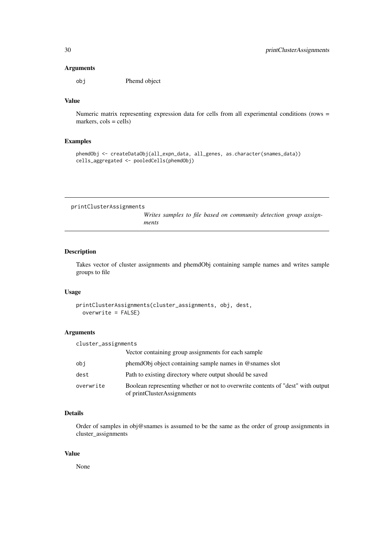# <span id="page-29-0"></span>Arguments

obj Phemd object

#### Value

Numeric matrix representing expression data for cells from all experimental conditions (rows = markers,  $\text{cols} = \text{cells}$ 

#### Examples

```
phemdObj <- createDataObj(all_expn_data, all_genes, as.character(snames_data))
cells_aggregated <- pooledCells(phemdObj)
```
printClusterAssignments

*Writes samples to file based on community detection group assignments*

# Description

Takes vector of cluster assignments and phemdObj containing sample names and writes sample groups to file

## Usage

```
printClusterAssignments(cluster_assignments, obj, dest,
 overwrite = FALSE)
```
# Arguments

| cluster_assignments |                                                                                                               |
|---------------------|---------------------------------------------------------------------------------------------------------------|
|                     | Vector containing group assignments for each sample                                                           |
| obi                 | phemdObj object containing sample names in @snames slot                                                       |
| dest                | Path to existing directory where output should be saved                                                       |
| overwrite           | Boolean representing whether or not to overwrite contents of "dest" with output<br>of printClusterAssignments |

## Details

Order of samples in obj@snames is assumed to be the same as the order of group assignments in cluster\_assignments

# Value

None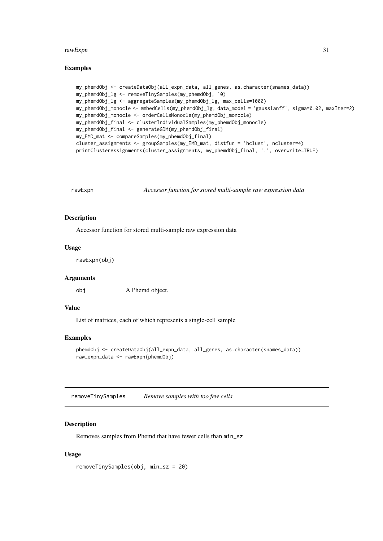#### <span id="page-30-0"></span>rawExpn 31

#### Examples

```
my_phemdObj <- createDataObj(all_expn_data, all_genes, as.character(snames_data))
my_phemdObj_lg <- removeTinySamples(my_phemdObj, 10)
my_phemdObj_lg <- aggregateSamples(my_phemdObj_lg, max_cells=1000)
my_phemdObj_monocle <- embedCells(my_phemdObj_lg, data_model = 'gaussianff', sigma=0.02, maxIter=2)
my_phemdObj_monocle <- orderCellsMonocle(my_phemdObj_monocle)
my_phemdObj_final <- clusterIndividualSamples(my_phemdObj_monocle)
my_phemdObj_final <- generateGDM(my_phemdObj_final)
my_EMD_mat <- compareSamples(my_phemdObj_final)
cluster_assignments <- groupSamples(my_EMD_mat, distfun = 'hclust', ncluster=4)
printClusterAssignments(cluster_assignments, my_phemdObj_final, '.', overwrite=TRUE)
```
rawExpn *Accessor function for stored multi-sample raw expression data*

## Description

Accessor function for stored multi-sample raw expression data

#### Usage

rawExpn(obj)

#### Arguments

obj A Phemd object.

# Value

List of matrices, each of which represents a single-cell sample

### Examples

```
phemdObj <- createDataObj(all_expn_data, all_genes, as.character(snames_data))
raw_expn_data <- rawExpn(phemdObj)
```
removeTinySamples *Remove samples with too few cells*

#### Description

Removes samples from Phemd that have fewer cells than min\_sz

# Usage

```
removeTinySamples(obj, min_sz = 20)
```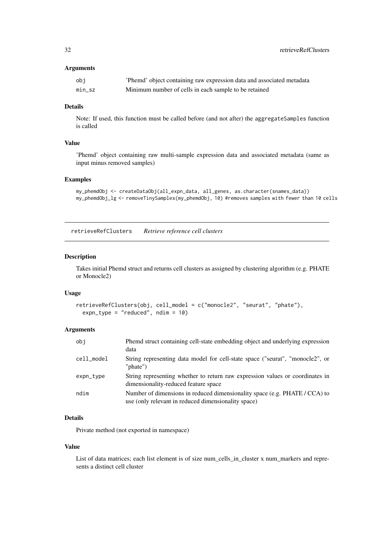<span id="page-31-0"></span>32 retrieveRefClusters

# Arguments

| obi    | 'Phemd' object containing raw expression data and associated metadata |
|--------|-----------------------------------------------------------------------|
| min sz | Minimum number of cells in each sample to be retained                 |

# Details

Note: If used, this function must be called before (and not after) the aggregateSamples function is called

# Value

'Phemd' object containing raw multi-sample expression data and associated metadata (same as input minus removed samples)

# Examples

```
my_phemdObj <- createDataObj(all_expn_data, all_genes, as.character(snames_data))
my_phemdObj_lg <- removeTinySamples(my_phemdObj, 10) #removes samples with fewer than 10 cells
```
retrieveRefClusters *Retrieve reference cell clusters*

#### Description

Takes initial Phemd struct and returns cell clusters as assigned by clustering algorithm (e.g. PHATE or Monocle2)

# Usage

```
retrieveRefClusters(obj, cell_model = c("monocle2", "seurat", "phate"),
  expn_type = "reduced", ndim = 10)
```
# Arguments

| obj        | Phemd struct containing cell-state embedding object and underlying expression<br>data                                             |
|------------|-----------------------------------------------------------------------------------------------------------------------------------|
| cell_model | String representing data model for cell-state space ("seurat", "monocle2", or<br>" $phate$ ")                                     |
| expn_type  | String representing whether to return raw expression values or coordinates in<br>dimensionality-reduced feature space             |
| ndim       | Number of dimensions in reduced dimensionality space (e.g. PHATE / CCA) to<br>use (only relevant in reduced dimensionality space) |

## Details

Private method (not exported in namespace)

#### Value

List of data matrices; each list element is of size num\_cells\_in\_cluster x num\_markers and represents a distinct cell cluster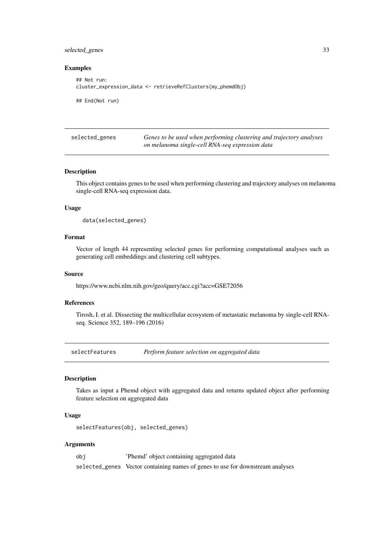#### <span id="page-32-0"></span>selected\_genes 33

#### Examples

```
## Not run:
cluster_expression_data <- retrieveRefClusters(my_phemdObj)
```
## End(Not run)

| selected_genes | Genes to be used when performing clustering and trajectory analyses |
|----------------|---------------------------------------------------------------------|
|                | on melanoma single-cell RNA-seq expression data                     |

#### Description

This object contains genes to be used when performing clustering and trajectory analyses on melanoma single-cell RNA-seq expression data.

# Usage

```
data(selected_genes)
```
# Format

Vector of length 44 representing selected genes for performing computational analyses such as generating cell embeddings and clustering cell subtypes.

#### Source

https://www.ncbi.nlm.nih.gov/geo/query/acc.cgi?acc=GSE72056

#### References

Tirosh, I. et al. Dissecting the multicellular ecosystem of metastatic melanoma by single-cell RNAseq. Science 352, 189–196 (2016)

selectFeatures *Perform feature selection on aggregated data*

#### Description

Takes as input a Phemd object with aggregated data and returns updated object after performing feature selection on aggregated data

#### Usage

```
selectFeatures(obj, selected_genes)
```
#### Arguments

obj 'Phemd' object containing aggregated data selected\_genes Vector containing names of genes to use for downstream analyses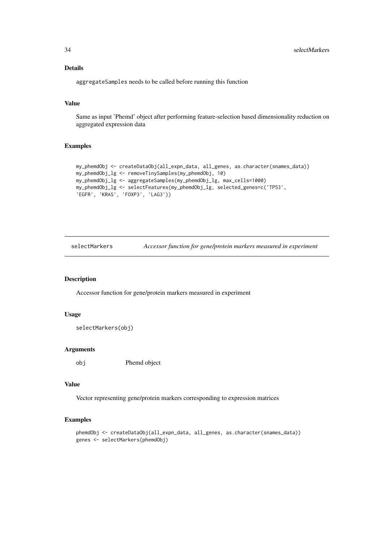# Details

aggregateSamples needs to be called before running this function

# Value

Same as input 'Phemd' object after performing feature-selection based dimensionality reduction on aggregated expression data

## Examples

```
my_phemdObj <- createDataObj(all_expn_data, all_genes, as.character(snames_data))
my_phemdObj_lg <- removeTinySamples(my_phemdObj, 10)
my_phemdObj_lg <- aggregateSamples(my_phemdObj_lg, max_cells=1000)
my_phemdObj_lg <- selectFeatures(my_phemdObj_lg, selected_genes=c('TP53',
'EGFR', 'KRAS', 'FOXP3', 'LAG3'))
```
selectMarkers *Accessor function for gene/protein markers measured in experiment*

## Description

Accessor function for gene/protein markers measured in experiment

## Usage

```
selectMarkers(obj)
```
# Arguments

obj Phemd object

#### Value

Vector representing gene/protein markers corresponding to expression matrices

```
phemdObj <- createDataObj(all_expn_data, all_genes, as.character(snames_data))
genes <- selectMarkers(phemdObj)
```
<span id="page-33-0"></span>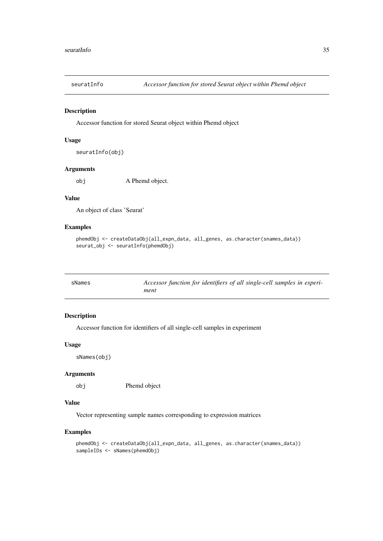<span id="page-34-0"></span>

# Description

Accessor function for stored Seurat object within Phemd object

# Usage

```
seuratInfo(obj)
```
#### Arguments

obj A Phemd object.

#### Value

An object of class 'Seurat'

#### Examples

```
phemdObj <- createDataObj(all_expn_data, all_genes, as.character(snames_data))
seurat_obj <- seuratInfo(phemdObj)
```

| sNames | Accessor function for identifiers of all single-cell samples in experi- |
|--------|-------------------------------------------------------------------------|
|        | ment                                                                    |

# Description

Accessor function for identifiers of all single-cell samples in experiment

## Usage

sNames(obj)

# Arguments

obj Phemd object

# Value

Vector representing sample names corresponding to expression matrices

```
phemdObj <- createDataObj(all_expn_data, all_genes, as.character(snames_data))
sampleIDs <- sNames(phemdObj)
```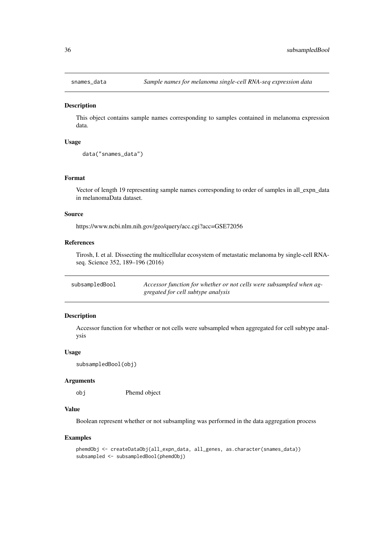<span id="page-35-0"></span>

#### Description

This object contains sample names corresponding to samples contained in melanoma expression data.

#### Usage

```
data("snames_data")
```
#### Format

Vector of length 19 representing sample names corresponding to order of samples in all\_expn\_data in melanomaData dataset.

#### Source

https://www.ncbi.nlm.nih.gov/geo/query/acc.cgi?acc=GSE72056

# References

Tirosh, I. et al. Dissecting the multicellular ecosystem of metastatic melanoma by single-cell RNAseq. Science 352, 189–196 (2016)

| subsampledBool | Accessor function for whether or not cells were subsampled when ag- |
|----------------|---------------------------------------------------------------------|
|                | gregated for cell subtype analysis                                  |

#### Description

Accessor function for whether or not cells were subsampled when aggregated for cell subtype analysis

# Usage

```
subsampledBool(obj)
```
#### Arguments

obj Phemd object

# Value

Boolean represent whether or not subsampling was performed in the data aggregation process

```
phemdObj <- createDataObj(all_expn_data, all_genes, as.character(snames_data))
subsampled <- subsampledBool(phemdObj)
```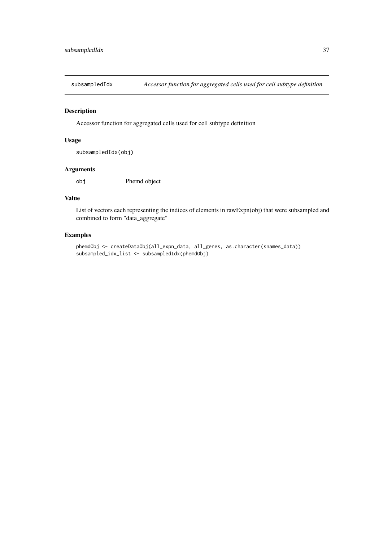<span id="page-36-0"></span>subsampledIdx *Accessor function for aggregated cells used for cell subtype definition*

## Description

Accessor function for aggregated cells used for cell subtype definition

# Usage

subsampledIdx(obj)

# Arguments

obj Phemd object

# Value

List of vectors each representing the indices of elements in rawExpn(obj) that were subsampled and combined to form "data\_aggregate"

# Examples

phemdObj <- createDataObj(all\_expn\_data, all\_genes, as.character(snames\_data)) subsampled\_idx\_list <- subsampledIdx(phemdObj)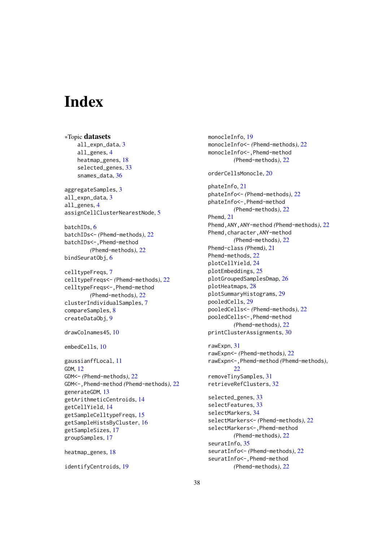# <span id="page-37-0"></span>Index

∗Topic datasets all\_expn\_data, [3](#page-2-0) all\_genes, [4](#page-3-0) heatmap\_genes, [18](#page-17-0) selected genes, [33](#page-32-0) snames\_data, [36](#page-35-0) aggregateSamples, [3](#page-2-0) all\_expn\_data, [3](#page-2-0) all\_genes, [4](#page-3-0) assignCellClusterNearestNode, [5](#page-4-0) batchIDs, [6](#page-5-0) batchIDs<- *(*Phemd-methods*)*, [22](#page-21-0) batchIDs<-,Phemd-method *(*Phemd-methods*)*, [22](#page-21-0) bindSeuratObj.[6](#page-5-0) celltypeFreqs, [7](#page-6-0) celltypeFreqs<- *(*Phemd-methods*)*, [22](#page-21-0) celltypeFreqs<-,Phemd-method *(*Phemd-methods*)*, [22](#page-21-0) clusterIndividualSamples, [7](#page-6-0) compareSamples, [8](#page-7-0) createDataObj, [9](#page-8-0) drawColnames45, [10](#page-9-0) embedCells, [10](#page-9-0) gaussianffLocal, [11](#page-10-0) GDM, [12](#page-11-0) GDM<- *(*Phemd-methods*)*, [22](#page-21-0) GDM<-,Phemd-method *(*Phemd-methods*)*, [22](#page-21-0) generateGDM, [13](#page-12-0) getArithmeticCentroids, [14](#page-13-0) getCellYield, [14](#page-13-0) getSampleCelltypeFreqs, [15](#page-14-0) getSampleHistsByCluster, [16](#page-15-0) getSampleSizes, [17](#page-16-0) groupSamples, [17](#page-16-0) heatmap\_genes, [18](#page-17-0)

identifyCentroids, [19](#page-18-0)

monocleInfo, [19](#page-18-0) monocleInfo<- *(*Phemd-methods*)*, [22](#page-21-0) monocleInfo<-,Phemd-method *(*Phemd-methods*)*, [22](#page-21-0) orderCellsMonocle, [20](#page-19-0) phateInfo, [21](#page-20-0) phateInfo<- *(*Phemd-methods*)*, [22](#page-21-0) phateInfo<-,Phemd-method *(*Phemd-methods*)*, [22](#page-21-0) Phemd, [21](#page-20-0) Phemd,ANY,ANY-method *(*Phemd-methods*)*, [22](#page-21-0) Phemd,character,ANY-method *(*Phemd-methods*)*, [22](#page-21-0) Phemd-class *(*Phemd*)*, [21](#page-20-0) Phemd-methods, [22](#page-21-0) plotCellYield, [24](#page-23-0) plotEmbeddings, [25](#page-24-0) plotGroupedSamplesDmap, [26](#page-25-0) plotHeatmaps, [28](#page-27-0) plotSummaryHistograms, [29](#page-28-0) pooledCells, [29](#page-28-0) pooledCells<- *(*Phemd-methods*)*, [22](#page-21-0) pooledCells<-,Phemd-method *(*Phemd-methods*)*, [22](#page-21-0) printClusterAssignments, [30](#page-29-0) rawExpn, [31](#page-30-0) rawExpn<- *(*Phemd-methods*)*, [22](#page-21-0) rawExpn<-,Phemd-method *(*Phemd-methods*)*, [22](#page-21-0) removeTinySamples, [31](#page-30-0) retrieveRefClusters, [32](#page-31-0) selected\_genes, [33](#page-32-0) selectFeatures, [33](#page-32-0) selectMarkers, [34](#page-33-0) selectMarkers<- *(*Phemd-methods*)*, [22](#page-21-0) selectMarkers<-,Phemd-method *(*Phemd-methods*)*, [22](#page-21-0) seuratInfo, [35](#page-34-0) seuratInfo<- *(*Phemd-methods*)*, [22](#page-21-0) seuratInfo<-, Phemd-method *(*Phemd-methods*)*, [22](#page-21-0)